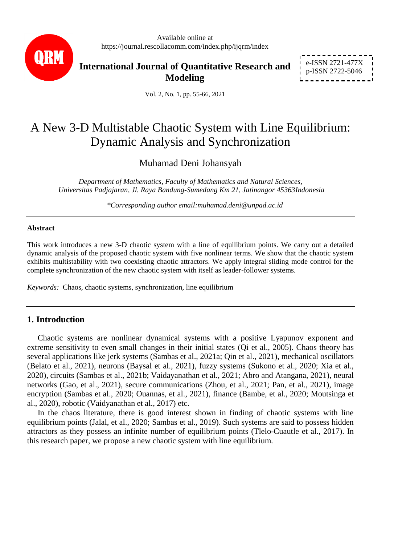

Available online at https://journal.rescollacomm.com/index.php/ijqrm/index

**International Journal of Quantitative Research and Modeling**

e-ISSN 2721-477X p-ISSN 2722-5046

Vol. 2, No. 1, pp. 55-66, 2021

# A New 3-D Multistable Chaotic System with Line Equilibrium: Dynamic Analysis and Synchronization

Muhamad Deni Johansyah

*Department of Mathematics, Faculty of Mathematics and Natural Sciences, Universitas Padjajaran, Jl. Raya Bandung-Sumedang Km 21, Jatinangor 45363Indonesia*

*\*Corresponding author email:muhamad.deni@unpad.ac.id*

#### **Abstract**

This work introduces a new 3-D chaotic system with a line of equilibrium points. We carry out a detailed dynamic analysis of the proposed chaotic system with five nonlinear terms. We show that the chaotic system exhibits multistability with two coexisting chaotic attractors. We apply integral sliding mode control for the complete synchronization of the new chaotic system with itself as leader-follower systems.

*Keywords:* Chaos, chaotic systems, synchronization, line equilibrium

# **1. Introduction**

Chaotic systems are nonlinear dynamical systems with a positive Lyapunov exponent and extreme sensitivity to even small changes in their initial states (Qi et al., 2005). Chaos theory has several applications like jerk systems (Sambas et al., 2021a; Qin et al., 2021), mechanical oscillators (Belato et al., 2021), neurons (Baysal et al., 2021), fuzzy systems (Sukono et al., 2020; Xia et al., 2020), circuits (Sambas et al., 2021b; Vaidayanathan et al., 2021; Abro and Atangana, 2021), neural networks (Gao, et al., 2021), secure communications (Zhou, et al., 2021; Pan, et al., 2021), image encryption (Sambas et al., 2020; Ouannas, et al., 2021), finance (Bambe, et al., 2020; Moutsinga et al., 2020), robotic (Vaidyanathan et al., 2017) etc.

In the chaos literature, there is good interest shown in finding of chaotic systems with line equilibrium points (Jalal, et al., 2020; Sambas et al., 2019). Such systems are said to possess hidden attractors as they possess an infinite number of equilibrium points (Tlelo-Cuautle et al., 2017). In this research paper, we propose a new chaotic system with line equilibrium.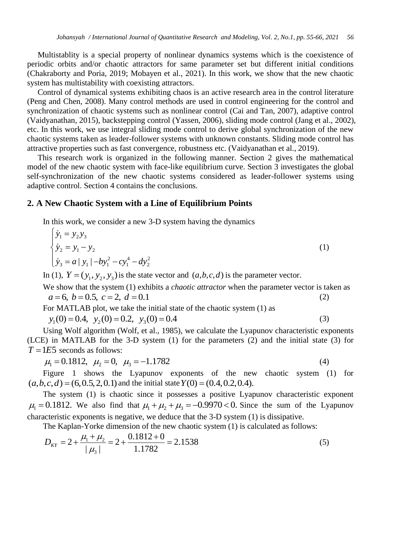Multistablity is a special property of nonlinear dynamics systems which is the coexistence of periodic orbits and/or chaotic attractors for same parameter set but different initial conditions (Chakraborty and Poria, 2019; Mobayen et al., 2021). In this work, we show that the new chaotic system has multistability with coexisting attractors.

Control of dynamical systems exhibiting chaos is an active research area in the control literature (Peng and Chen, 2008). Many control methods are used in control engineering for the control and synchronization of chaotic systems such as nonlinear control (Cai and Tan, 2007), adaptive control (Vaidyanathan, 2015), backstepping control (Yassen, 2006), sliding mode control (Jang et al., 2002), etc. In this work, we use integral sliding mode control to derive global synchronization of the new chaotic systems taken as leader-follower systems with unknown constants. Sliding mode control has attractive properties such as fast convergence, robustness etc. (Vaidyanathan et al., 2019).

This research work is organized in the following manner. Section 2 gives the mathematical model of the new chaotic system with face-like equilibrium curve. Section 3 investigates the global self-synchronization of the new chaotic systems considered as leader-follower systems using adaptive control. Section 4 contains the conclusions.

### **2. A New Chaotic System with a Line of Equilibrium Points**

In this work, we consider a new 3-D system having the dynamics  
\n
$$
\begin{cases}\n\dot{y}_1 = y_2 y_3 \\
\dot{y}_2 = y_1 - y_2 \\
\dot{y}_3 = a | y_1 | -b y_1^2 - c y_1^4 - d y_2^2\n\end{cases}
$$
\n(1)

In (1),  $Y = (y_1, y_2, y_3)$  is the state vector and  $(a, b, c, d)$  is the parameter vector.

We show that the system (1) exhibits a *chaotic attractor* when the parameter vector is taken as  $a = 6, b = 0.5, c = 2, d = 0.1$ (2)

For MATLAB plot, we take the initial state of the chaotic system (1) as  $y_1(0) = 0.4$ ,  $y_2(0) = 0.2$ ,  $y_3(0) = 0.4$ (3)

Using Wolf algorithm (Wolf, et al., 1985), we calculate the Lyapunov characteristic exponents (LCE) in MATLAB for the 3-D system (1) for the parameters (2) and the initial state (3) for  $T = 1E5$  seconds as follows:

 $\mu_1 = 0.1812, \ \mu_2 = 0, \ \mu_3 = -1.1782$  (4)

Figure 1 shows the Lyapunov exponents of the new chaotic system (1) for Figure 1 shows the Lyapunov exponents of the new<br>  $(a, b, c, d) = (6, 0.5, 2, 0.1)$  and the initial state  $Y(0) = (0.4, 0.2, 0.4)$ .

The system (1) is chaotic since it possesses a positive Lyapunov characteristic exponent The system (1) is chaotic since it possesses a positive Eyapunov characteristic exponent  $\mu_1 = 0.1812$ . We also find that  $\mu_1 + \mu_2 + \mu_3 = -0.9970 < 0$ . Since the sum of the Lyapunov characteristic exponents is negative, we deduce that the 3-D system (1) is dissipative.

The Kaplan-Yorke dimension of the new chaotic system (1) is classified as follows:  
\n
$$
D_{\text{KY}} = 2 + \frac{\mu_1 + \mu_2}{|\mu_3|} = 2 + \frac{0.1812 + 0}{1.1782} = 2.1538
$$
\n(5)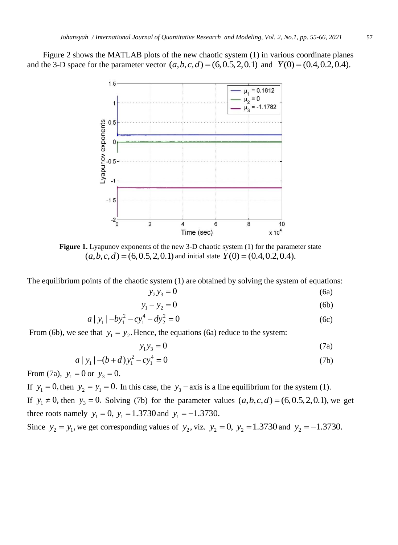Figure 2 shows the MATLAB plots of the new chaotic system (1) in various coordinate planes Figure 2 shows the MATLAD plots of the hew chaotic system (1) in various coordinate plane and the 3-D space for the parameter vector  $(a,b,c,d) = (6,0.5,2,0.1)$  and  $Y(0) = (0.4,0.2,0.4)$ .



**Figure 1.** Lyapunov exponents of the new 3-D chaotic system (1) for the parameter state . Lyapunov exponents of the new 3-D chaotic system (1) for the parameter  $(a,b,c,d) = (6,0.5,2,0.1)$  and initial state  $Y(0) = (0.4,0.2,0.4)$ .

The equilibrium points of the chaotic system (1) are obtained by solving the system of equations:

$$
y_2 y_3 = 0 \tag{6a}
$$

$$
y_1 - y_2 = 0 \tag{6b}
$$

$$
a | y_1 | -b y_1^2 - c y_1^4 - d y_2^2 = 0
$$
 (6c)

From (6b), we see that  $y_1 = y_2$ . Hence, the equations (6a) reduce to the system:

$$
y_1 y_3 = 0 \tag{7a}
$$

$$
a | y_1 | -(b+d) y_1^2 - c y_1^4 = 0
$$
 (7b)

From (7a),  $y_1 = 0$  or  $y_3 = 0$ .

If  $y_1 = 0$ , then  $y_2 = y_1 = 0$ . In this case, the  $y_3$  – axis is a line equilibrium for the system (1). If  $y_1 \neq 0$ , then  $y_3 = 0$ . Solving (7b) for the parameter values  $(a, b, c, d) = (6, 0.5, 2, 0.1)$ , we get three roots namely  $y_1 = 0$ ,  $y_1 = 1.3730$  and  $y_1 = -1.3730$ .

Since  $y_2 = y_1$ , we get corresponding values of  $y_2$ , viz.  $y_2 = 0$ ,  $y_2 = 1.3730$  and  $y_2 = -1.3730$ .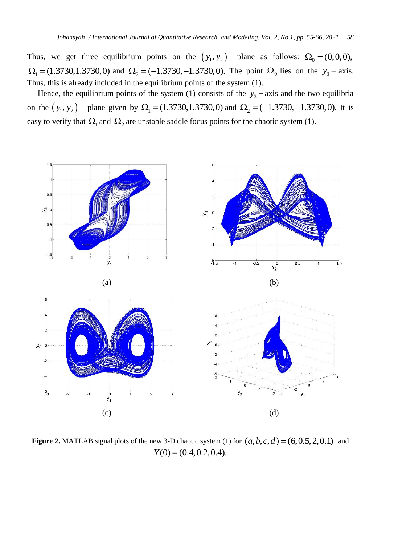Thus, we get three equilibrium points on the  $(y_1, y_2)$  plane as follows:  $\Omega_0 = (0, 0, 0)$ ,  $\Omega_1 = (1.3730, 1.3730, 0)$  and  $\Omega_2 = (-1.3730, -1.3730, 0)$ . The point  $\Omega_0$  lies on the  $y_3$  - axis. Thus, this is already included in the equilibrium points of the system (1).

Hence, the equilibrium points of the system (1) consists of the  $y_3$  – axis and the two equilibria on the  $(y_1, y_2)$  – plane given by  $\Omega_1 = (1.3730, 1.3730, 0)$  and  $\Omega_2 = (-1.3730, -1.3730, 0)$ . It is easy to verify that  $\Omega_1$  and  $\Omega_2$  are unstable saddle focus points for the chaotic system (1).



**Figure 2.** MATLAB signal plots of the new 3-D chaotic system (1) for  $(a, b, c, d) = (6, 0.5, 2, 0.1)$  and  $Y(0) = (0.4, 0.2, 0.4).$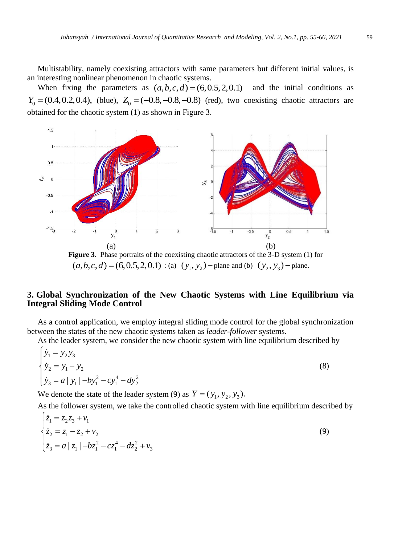Multistability, namely coexisting attractors with same parameters but different initial values, is an interesting nonlinear phenomenon in chaotic systems.

When fixing the parameters as  $(a,b,c,d) = (6,0.5,2,0.1)$  and the initial conditions as  $Y_0 = (0.4, 0.2, 0.4)$ , (blue),  $Z_0 = (-0.8, -0.8, -0.8)$  (red), two coexisting chaotic attractors are obtained for the chaotic system (1) as shown in Figure 3.



Figure 3. Phase portraits of the coexisting chaotic attractors of the 3-D system (1) for **gare 5.** Thase portraits of the coexisting enable attractors of the 5-D system (1)<br>  $(a, b, c, d) = (6, 0.5, 2, 0.1) : (a) (y_1, y_2)$  – plane and (b)  $(y_2, y_3)$  – plane.

## **3. Global Synchronization of the New Chaotic Systems with Line Equilibrium via Integral Sliding Mode Control**

As a control application, we employ integral sliding mode control for the global synchronization between the states of the new chaotic systems taken as *leader-follower* systems.

As the leader system, we consider the new chaotic system with line equilibrium described by\n
$$
\begin{cases}\n\dot{y}_1 = y_2 y_3 \\
\dot{y}_2 = y_1 - y_2 \\
\dot{y}_3 = a | y_1 | -b y_1^2 - c y_1^4 - d y_2^2\n\end{cases}
$$
\n(8)

We denote the state of the leader system (9) as  $Y = (y_1, y_2, y_3)$ .

As the follower system, we take the controlled chaotic system with line equilibrium described by\n
$$
\begin{cases}\n\dot{z}_1 = z_2 z_3 + v_1 \\
\dot{z}_2 = z_1 - z_2 + v_2 \\
\dot{z}_3 = a \mid z_1 \mid -bz_1^2 - cz_1^4 - dz_2^2 + v_3\n\end{cases}
$$
\n(9)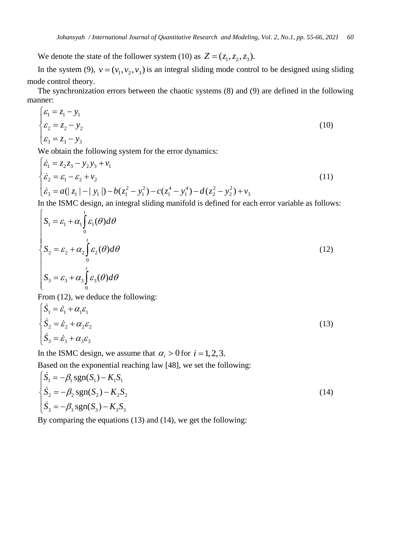We denote the state of the follower system (10) as  $Z = (z_1, z_2, z_3)$ .

In the system (9),  $v = (v_1, v_2, v_3)$  is an integral sliding mode control to be designed using sliding mode control theory.

The synchronization errors between the chaotic systems (8) and (9) are defined in the following manner:

$$
\begin{cases} \n\varepsilon_1 = z_1 - y_1 \\ \n\varepsilon_2 = z_2 - y_2 \\ \n\varepsilon_3 = z_3 - y_3 \n\end{cases} \n\tag{10}
$$

$$
\begin{aligned}\n\left[\varepsilon_{3} = z_{3} - y_{3}\right] \text{We obtain the following system for the error dynamics:} \\
\begin{cases}\n\dot{\varepsilon}_{1} &= z_{2}z_{3} - y_{2}y_{3} + v_{1} \\
\dot{\varepsilon}_{2} &= \varepsilon_{1} - \varepsilon_{2} + v_{2} \\
\dot{\varepsilon}_{3} &= a(\vert z_{1} \vert - \vert y_{1} \vert) - b(z_{1}^{2} - y_{1}^{2}) - c(z_{1}^{4} - y_{1}^{4}) - d(z_{2}^{2} - y_{2}^{2}) + v_{3} \\
\dot{\varepsilon}_{4} &= \varepsilon_{1} - \varepsilon_{2} + v_{1} \\
\dot{\varepsilon}_{5} &= a(\vert z_{1} \vert - \vert y_{1} \vert) - b(z_{1}^{2} - y_{1}^{2}) - c(z_{1}^{4} - y_{1}^{4}) - d(z_{2}^{2} - y_{2}^{2}) + v_{3}\n\end{cases} \tag{11}
$$

In the ISMC design, an integral sliding manifold is defined for each error variable as follows:

$$
\begin{cases}\nS_1 = \varepsilon_1 + \alpha_1 \int_0^t \varepsilon_1(\theta) d\theta \\
S_2 = \varepsilon_2 + \alpha_2 \int_0^t \varepsilon_2(\theta) d\theta \\
S_3 = \varepsilon_3 + \alpha_3 \int_0^t \varepsilon_3(\theta) d\theta\n\end{cases}
$$
\n(12)

From (12), we deduce the following:

$$
\begin{cases}\n\dot{S}_1 = \dot{\varepsilon}_1 + \alpha_1 \varepsilon_1 \\
\dot{S}_2 = \dot{\varepsilon}_2 + \alpha_2 \varepsilon_2 \\
\dot{S}_3 = \dot{\varepsilon}_3 + \alpha_3 \varepsilon_3\n\end{cases}
$$
\n(13)

In the ISMC design, we assume that  $\alpha_i > 0$  for  $i = 1, 2, 3$ .

Based on the exponential reaching law [48], we set the following:

$$
\begin{cases}\n\dot{S}_1 = -\beta_1 \text{sgn}(S_1) - K_1 S_1 \\
\dot{S}_2 = -\beta_2 \text{sgn}(S_2) - K_2 S_2 \\
\dot{S}_3 = -\beta_3 \text{sgn}(S_3) - K_3 S_3\n\end{cases}
$$
\n(14)

By comparing the equations (13) and (14), we get the following: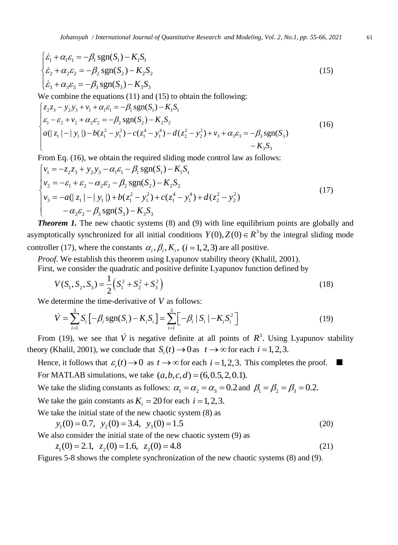$$
\begin{cases}\n\dot{\varepsilon}_1 + \alpha_1 \varepsilon_1 = -\beta_1 \operatorname{sgn}(S_1) - K_1 S_1 \\
\dot{\varepsilon}_2 + \alpha_2 \varepsilon_2 = -\beta_2 \operatorname{sgn}(S_2) - K_2 S_2 \\
\dot{\varepsilon}_3 + \alpha_3 \varepsilon_3 = -\beta_3 \operatorname{sgn}(S_3) - K_3 S_3\n\end{cases}
$$
\nWe combine the equations (11) and (15) to obtain the following:

\n
$$
\begin{cases}\nz_2 z_3 - y_2 y_3 + v_1 + \alpha_1 \varepsilon_1 = -\beta_1 \operatorname{sgn}(S_1) - K_1 S_1 \\
\alpha_3 = \beta_1 \operatorname{sgn}(S_1) - K_1 S_1\n\end{cases}
$$
\n(15)

We combine the equations (11) and (15) to obtain the following:  
\n
$$
\begin{cases}\nz_2z_3 - y_2y_3 + v_1 + \alpha_1\varepsilon_1 = -\beta_1 \text{sgn}(S_1) - K_1S_1 \\
\varepsilon_1 - \varepsilon_2 + v_2 + \alpha_2\varepsilon_2 = -\beta_2 \text{sgn}(S_2) - K_2S_2 \\
a(|z_1| - |y_1|) - b(z_1^2 - y_1^2) - c(z_1^4 - y_1^4) - d(z_2^2 - y_2^2) + v_3 + \alpha_3\varepsilon_3 = -\beta_3 \text{sgn}(S_3) \\
-S_3S_3\n\end{cases}
$$
\n(16) we obtain the required dilation and parallel by  $\varepsilon_1$  follows

$$
-K_3S_3
$$
  
From Eq. (16), we obtain the required sliding mode control law as follows:  

$$
\begin{cases}\nv_1 = -z_2z_3 + y_2y_3 - \alpha_1\varepsilon_1 - \beta_1 \text{sgn}(S_1) - K_1S_1 \\
v_2 = -\varepsilon_1 + \varepsilon_2 - \alpha_2\varepsilon_2 - \beta_2 \text{sgn}(S_2) - K_2S_2 \\
v_3 = -a(|z_1| - |y_1|) + b(z_1^2 - y_1^2) + c(z_1^4 - y_1^4) + d(z_2^2 - y_2^2) \\
-\alpha_3\varepsilon_3 - \beta_3 \text{sgn}(S_3) - K_3S_3\n\end{cases}
$$
\n(17)

*Theorem 1.* The new chaotic systems (8) and (9) with line equilibrium points are globally and asymptotically synchronized for all initial conditions  $Y(0), Z(0) \in R^3$  by the integral sliding mode controller (17), where the constants  $\alpha_i$ ,  $\beta_i$ ,  $K_i$ , (*i* = 1, 2, 3) are all positive.

*Proof.* We establish this theorem using Lyapunov stability theory (Khalil, 2001).

First, we consider the quadratic and positive definite Lyapunov function defined by

$$
V(S_1, S_2, S_3) = \frac{1}{2} (S_1^2 + S_2^2 + S_3^2)
$$
\n(18)

We determine the time-derivative of *V* as follows:  
\n
$$
\dot{V} = \sum_{i=1}^{3} S_i \left[ -\beta_i \text{sgn}(S_i) - K_i S_i \right] = \sum_{i=1}^{3} \left[ -\beta_i |S_i| - K_i S_i^2 \right]
$$
\n(19)

From (19), we see that  $\dot{V}$  is negative definite at all points of  $R^3$ . Using Lyapunov stability theory (Khalil, 2001), we conclude that  $S_i(t) \to 0$  as  $t \to \infty$  for each  $i = 1, 2, 3$ .

Hence, it follows that  $\varepsilon_i(t) \to 0$  as  $t \to \infty$  for each  $i = 1, 2, 3$ . This completes the proof. For MATLAB simulations, we take  $(a, b, c, d) = (6, 0.5, 2, 0.1)$ .

We take the sliding constants as follows:  $\alpha_1 = \alpha_2 = \alpha_3 = 0.2$  and  $\beta_1 = \beta_2 = \beta_3 = 0.2$ .

We take the gain constants as  $K_i = 20$  for each  $i = 1, 2, 3$ .

We take the initial state of the new chaotic system (8) as  
\n
$$
y_1(0) = 0.7
$$
,  $y_2(0) = 3.4$ ,  $y_3(0) = 1.5$  (20)

We also consider the initial state of the new chaotic system (9) as  

$$
z_1(0) = 2.1
$$
,  $z_2(0) = 1.6$ ,  $z_3(0) = 4.8$  (21)

Figures 5-8 shows the complete synchronization of the new chaotic systems (8) and (9).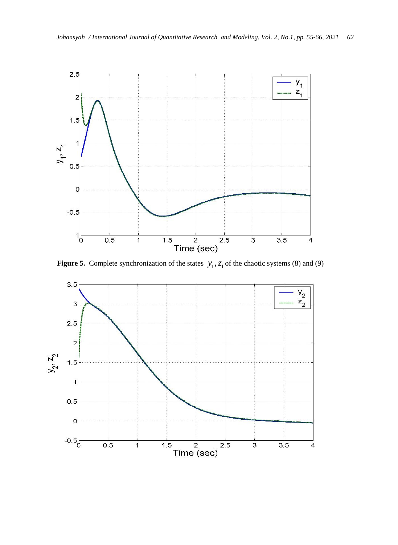

**Figure 5.** Complete synchronization of the states  $y_1$ ,  $z_1$  of the chaotic systems (8) and (9)

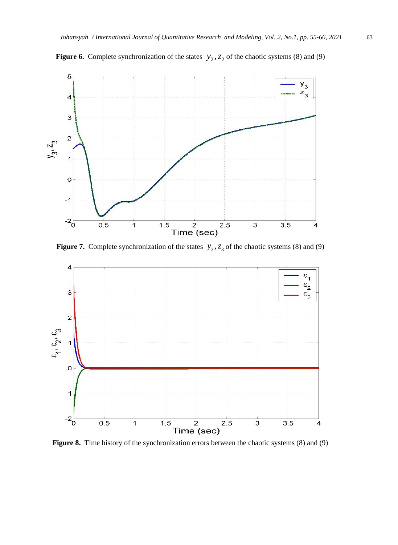

**Figure 6.** Complete synchronization of the states  $y_2$ ,  $z_2$  of the chaotic systems (8) and (9)

**Figure 7.** Complete synchronization of the states  $y_3$ ,  $z_3$  of the chaotic systems (8) and (9)



**Figure 8.** Time history of the synchronization errors between the chaotic systems (8) and (9)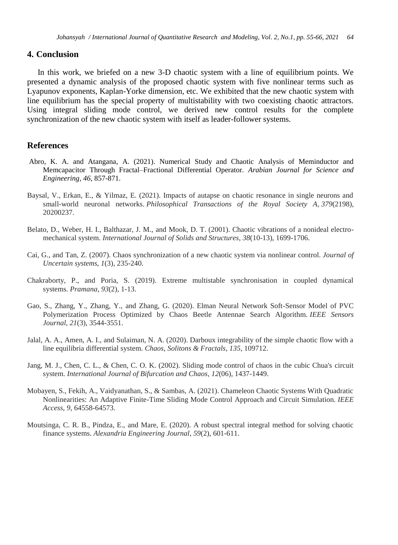## **4. Conclusion**

In this work, we briefed on a new 3-D chaotic system with a line of equilibrium points. We presented a dynamic analysis of the proposed chaotic system with five nonlinear terms such as Lyapunov exponents, Kaplan-Yorke dimension, etc. We exhibited that the new chaotic system with line equilibrium has the special property of multistability with two coexisting chaotic attractors. Using integral sliding mode control, we derived new control results for the complete synchronization of the new chaotic system with itself as leader-follower systems.

#### **References**

- Abro, K. A. and Atangana, A. (2021). Numerical Study and Chaotic Analysis of Meminductor and Memcapacitor Through Fractal–Fractional Differential Operator*. Arabian Journal for Science and Engineering, 46*, 857-871.
- Baysal, V., Erkan, E., & Yilmaz, E. (2021). Impacts of autapse on chaotic resonance in single neurons and small-world neuronal networks. *Philosophical Transactions of the Royal Society A*, *379*(2198), 20200237.
- Belato, D., Weber, H. I., Balthazar, J. M., and Mook, D. T. (2001). Chaotic vibrations of a nonideal electromechanical system. *International Journal of Solids and Structures*, *38*(10-13), 1699-1706.
- Cai, G., and Tan, Z. (2007). Chaos synchronization of a new chaotic system via nonlinear control. *Journal of Uncertain systems*, *1*(3), 235-240.
- Chakraborty, P., and Poria, S. (2019). Extreme multistable synchronisation in coupled dynamical systems. *Pramana*, *93*(2), 1-13.
- Gao, S., Zhang, Y., Zhang, Y., and Zhang, G. (2020). Elman Neural Network Soft-Sensor Model of PVC Polymerization Process Optimized by Chaos Beetle Antennae Search Algorithm. *IEEE Sensors Journal*, *21*(3), 3544-3551.
- Jalal, A. A., Amen, A. I., and Sulaiman, N. A. (2020). Darboux integrability of the simple chaotic flow with a line equilibria differential system. *Chaos, Solitons & Fractals*, *135*, 109712.
- Jang, M. J., Chen, C. L., & Chen, C. O. K. (2002). Sliding mode control of chaos in the cubic Chua's circuit system. *International Journal of Bifurcation and Chaos*, *12*(06), 1437-1449.
- Mobayen, S., Fekih, A., Vaidyanathan, S., & Sambas, A. (2021). Chameleon Chaotic Systems With Quadratic Nonlinearities: An Adaptive Finite-Time Sliding Mode Control Approach and Circuit Simulation. *IEEE Access*, *9*, 64558-64573.
- Moutsinga, C. R. B., Pindza, E., and Mare, E. (2020). A robust spectral integral method for solving chaotic finance systems. *Alexandria Engineering Journal*, *59*(2), 601-611.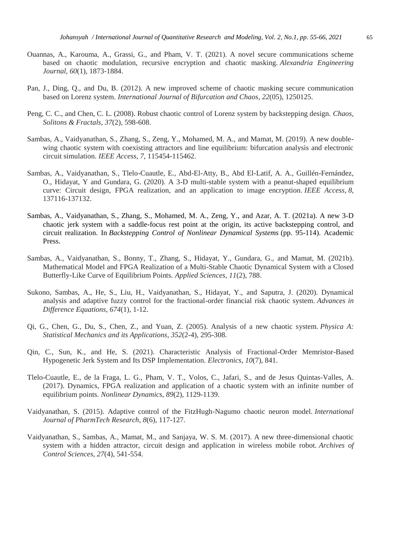- Ouannas, A., Karouma, A., Grassi, G., and Pham, V. T. (2021). A novel secure communications scheme based on chaotic modulation, recursive encryption and chaotic masking. *Alexandria Engineering Journal*, *60*(1), 1873-1884.
- Pan, J., Ding, Q., and Du, B. (2012). A new improved scheme of chaotic masking secure communication based on Lorenz system. *International Journal of Bifurcation and Chaos*, *22*(05), 1250125.
- Peng, C. C., and Chen, C. L. (2008). Robust chaotic control of Lorenz system by backstepping design. *Chaos, Solitons & Fractals*, *37*(2), 598-608.
- Sambas, A., Vaidyanathan, S., Zhang, S., Zeng, Y., Mohamed, M. A., and Mamat, M. (2019). A new doublewing chaotic system with coexisting attractors and line equilibrium: bifurcation analysis and electronic circuit simulation. *IEEE Access*, *7*, 115454-115462.
- Sambas, A., Vaidyanathan, S., Tlelo-Cuautle, E., Abd-El-Atty, B., Abd El-Latif, A. A., Guillén-Fernández, O., Hidayat, Y and Gundara, G. (2020). A 3-D multi-stable system with a peanut-shaped equilibrium curve: Circuit design, FPGA realization, and an application to image encryption. *IEEE Access*, *8*, 137116-137132.
- Sambas, A., Vaidyanathan, S., Zhang, S., Mohamed, M. A., Zeng, Y., and Azar, A. T. (2021a). A new 3-D chaotic jerk system with a saddle-focus rest point at the origin, its active backstepping control, and circuit realization. In *Backstepping Control of Nonlinear Dynamical Systems* (pp. 95-114). Academic Press.
- Sambas, A., Vaidyanathan, S., Bonny, T., Zhang, S., Hidayat, Y., Gundara, G., and Mamat, M. (2021b). Mathematical Model and FPGA Realization of a Multi-Stable Chaotic Dynamical System with a Closed Butterfly-Like Curve of Equilibrium Points. *Applied Sciences*, *11*(2), 788.
- Sukono, Sambas, A., He, S., Liu, H., Vaidyanathan, S., Hidayat, Y., and Saputra, J. (2020). Dynamical analysis and adaptive fuzzy control for the fractional-order financial risk chaotic system. *Advances in Difference Equations*, *674*(1), 1-12.
- Qi, G., Chen, G., Du, S., Chen, Z., and Yuan, Z. (2005). Analysis of a new chaotic system. *Physica A: Statistical Mechanics and its Applications*, *352*(2-4), 295-308.
- Qin, C., Sun, K., and He, S. (2021). Characteristic Analysis of Fractional-Order Memristor-Based Hypogenetic Jerk System and Its DSP Implementation. *Electronics*, *10*(7), 841.
- Tlelo-Cuautle, E., de la Fraga, L. G., Pham, V. T., Volos, C., Jafari, S., and de Jesus Quintas-Valles, A. (2017). Dynamics, FPGA realization and application of a chaotic system with an infinite number of equilibrium points. *Nonlinear Dynamics*, *89*(2), 1129-1139.
- Vaidyanathan, S. (2015). Adaptive control of the FitzHugh-Nagumo chaotic neuron model. *International Journal of PharmTech Research*, *8*(6), 117-127.
- Vaidyanathan, S., Sambas, A., Mamat, M., and Sanjaya, W. S. M. (2017). A new three-dimensional chaotic system with a hidden attractor, circuit design and application in wireless mobile robot. *Archives of Control Sciences*, *27*(4), 541-554.